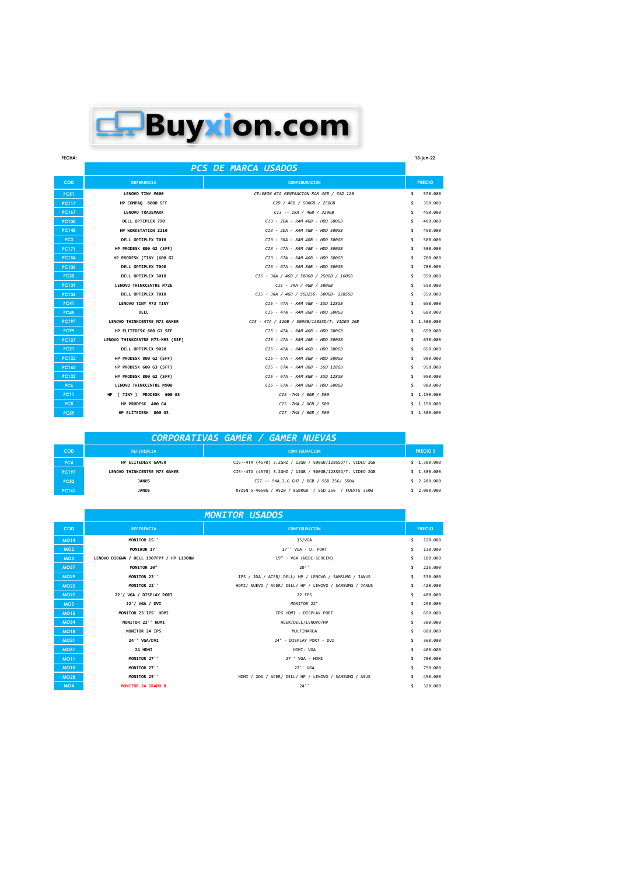## **Buyxion.com**

| <b>FECHA:</b> |                                  |                                              | 13-jun-22       |
|---------------|----------------------------------|----------------------------------------------|-----------------|
|               |                                  | <b>PCS DE MARCA USADOS</b>                   |                 |
| <b>COD</b>    | <b>REFERENCIA</b>                | <b>CONFIGURACIÓN</b>                         | <b>PRECIO</b>   |
| <b>PC51</b>   | LENOVO TINY M600                 | CELERON 6TA GENERACION RAM 4GB / SSD 128     | \$<br>570,000   |
| <b>PC117</b>  | HP COMPAO 8000 SFF               | C2D / 4GB / 500GB / 250GB                    | \$<br>350,000   |
| <b>PC167</b>  | <b>LENOVO TRADEMARK</b>          | CI3 -- 1RA / 4GB / 320GB                     | \$<br>450,000   |
| <b>PC138</b>  | DELL OPTIPLEX 790                | CI3 - 2DA - RAM 4GB - HDD 500GB              | \$<br>480,000   |
| <b>PC148</b>  | HP WORKSTATION Z210              | CI3 - 2DA - RAM 4GB - HDD 500GB              | \$<br>450,000   |
| PC3           | DELL OPTIPLEX 7010               | CI3 - 3RA - RAM 4GB - HDD 500GB              | \$<br>500,000   |
| <b>PC171</b>  | HP PRODESK 800 G2 (SFF)          | CI3 - 4TA - RAM 4GB - HDD 500GB              | \$<br>580,000   |
| <b>PC154</b>  | HP PRODESK (TINY )600 G2         | CI3 - 6TA - RAM 4GB - HDD 500GB              | \$<br>700,000   |
| <b>PC106</b>  | DELL OPTIPLEX 7040               | CI3 - 6TA - RAM 8GB - HDD 500GB              | \$<br>780,000   |
| <b>PC30</b>   | DELL OPTIPLEX 3010               | CI5 - 3RA / 4GB / 500GB / 250GB / 160GB      | \$<br>550,000   |
| <b>PC139</b>  | LENOVO THINKCENTRE M72E          | CI5 - 3RA / 4GB / 500GB                      | \$<br>550,000   |
| <b>PC136</b>  | DELL OPTIPLEX 7010               | CI5 - 3RA / 4GB / SSD256- 500GB- 128SSD      | \$<br>550,000   |
| <b>PC41</b>   | LENOVO TINY M73 TINY             | CI5 - 4TA - RAM 4GB - SSD 128GB              | \$<br>650,000   |
| <b>PC45</b>   | DELL                             | CI5 - 4TA - RAM 8GB - HDD 500GB              | \$<br>680,000   |
| <b>PC197</b>  | LENOVO THINKCENTRE M73 GAMER     | CI5 - 4TA / 12GB / 500GB/128SSD/T. VIDEO 2GB | \$<br>1,380,000 |
| <b>PC99</b>   | HP ELITEDESK 800 G1 SFF          | CI5 - 4TA - RAM 4GB - HDD 500GB              | \$<br>650,000   |
| <b>PC127</b>  | LENOVO THINKCENTRE M73-M93 (SSF) | CI5 - 4TA - RAM 4GB - HDD 500GB              | \$<br>630,000   |
| <b>PC21</b>   | DELL OPTIPLEX 9020               | CI5 - 4TA - RAM 4GB - HDD 500GB              | \$<br>650,000   |
| <b>PC122</b>  | HP PRODESK 800 G2 (SFF)          | CI5 - 6TA - RAM 8GB - HDD 500GB              | \$<br>980,000   |
| <b>PC160</b>  | HP PRODESK 600 G3 (SFF)          | CI5 - 6TA - RAM 8GB - SSD 128GB              | \$<br>950,000   |
| <b>PC123</b>  | HP PRODESK 800 G2 (SFF)          | CI5 - 6TA - RAM 8GB - SSD 128GB              | \$<br>950,000   |
| PC6           | LENOVO THINKCENTRE M900          | CI5 - 6TA - RAM 8GB - HDD 500GB              | \$<br>980,000   |
| <b>PC11</b>   | HP (TINY) PRODESK 600 G3         | CI5 -7MA / 8GB / 500                         | \$1.150.000     |
| PC8           | HP PRODESK 400 G4                | CI5 -7MA / 8GB / 500                         | \$1.150.000     |
| <b>PC59</b>   | HP ELITEDESK 800 G3              | CI7 -7MA / 8GB / 500                         | \$1.380.000     |

|              |                              | <b>CORPORATIVAS GAMER / GAMER NUEVAS</b>                  |                |
|--------------|------------------------------|-----------------------------------------------------------|----------------|
| COD          | <b>REFERENCIA</b>            | <b>CONFIGURACION</b>                                      | <b>PRECIO3</b> |
| PC4          | HP ELITEDESK GAMER           | CI5--4TA (4570) 3.2GHZ / 12GB / 500GB/128SSD/T, VIDEO 2GB | \$1.380.000    |
| <b>PC197</b> | LENOVO THINKCENTRE M73 GAMER | CI5--4TA (4570) 3.2GHZ / 12GB / 500GB/128SSD/T. VIDEO 2GB | \$1.380.000    |
| <b>PC52</b>  | <b>JANUS</b>                 | CI7 -- 9NA 3.6 GHZ / 8GB / SSD 256/ 550W                  | \$2,200,000    |
| <b>PC162</b> | <b>JANUS</b>                 | RYZEN 5-4650G / A520 / 8GBRGB<br>/ SSD 256 / FUENTE 350W  | \$2.000.000    |

|                 |                                          | <b>MONITOR USADOS</b>                                   |               |
|-----------------|------------------------------------------|---------------------------------------------------------|---------------|
| <b>COD</b>      | <b>REFERENCIA</b>                        | CONFIGURACIÓN                                           | <b>PRECIO</b> |
| <b>MO14</b>     | MONITOR 15"                              | 15/VGA                                                  | \$<br>120,000 |
| MO2             | MONIROR 17'                              | 17'' VGA - D. PORT                                      | \$<br>130,000 |
| MO <sub>3</sub> | LENOVO D186WA / DELL 1907FPf / HP L1908W | 19" - VGA (WIDE-SCREEN)                                 | \$<br>180,000 |
| <b>MO57</b>     | MONITOR 20"                              | 20'                                                     | \$<br>215,000 |
| <b>MO29</b>     | MONITOR 23"                              | IPS / 2DA / ACER/ DELL/ HP / LENOVO / SAMSUMG / JANUS   | \$<br>530,000 |
| <b>MO23</b>     | MONITOR 22"                              | HDMI/ NUEVO / ACER/ DELL/ HP / LENOVO / SAMSUMG / JANUS | \$<br>420,000 |
| <b>MO22</b>     | 22'/ VGA / DISPLAY PORT                  | 22 IPS                                                  | \$<br>480,000 |
| MO <sub>5</sub> | 22'/ VGA / DVI                           | MONITOR 22"                                             | \$<br>290,000 |
| <b>MO15</b>     | MONITOR 23'IPS' HDMI                     | IPS HDMI - DISPLAY PORT                                 | \$<br>690,000 |
| <b>MO54</b>     | MONITOR 23'' HDMI                        | ACER/DELL/LENOVO/HP                                     | \$<br>380,000 |
| <b>MO18</b>     | MONITOR 24 IPS                           | MULTIMARCA                                              | \$<br>680,000 |
| <b>MO21</b>     | 24" VGA/DVI                              | 24" - DISPLAY PORT - DVI                                | \$<br>360,000 |
| <b>MO61</b>     | 24 HDMI                                  | HDMI- VGA                                               | \$<br>400,000 |
| <b>MO11</b>     | MONITOR 27"                              | 27'' VGA - HDMI                                         | \$<br>780,000 |
| <b>MO10</b>     | MONITOR 27"                              | 27' ' VGA                                               | \$<br>750,000 |
| <b>MO28</b>     | MONITOR 25"                              | HDMI / 2DA / ACER/ DELL/ HP / LENOVO / SAMSUMG / ASUS   | \$<br>450,000 |
| <b>MO4</b>      | <b>MONITOR 24 GRADO B</b>                | 24"                                                     | \$<br>320,000 |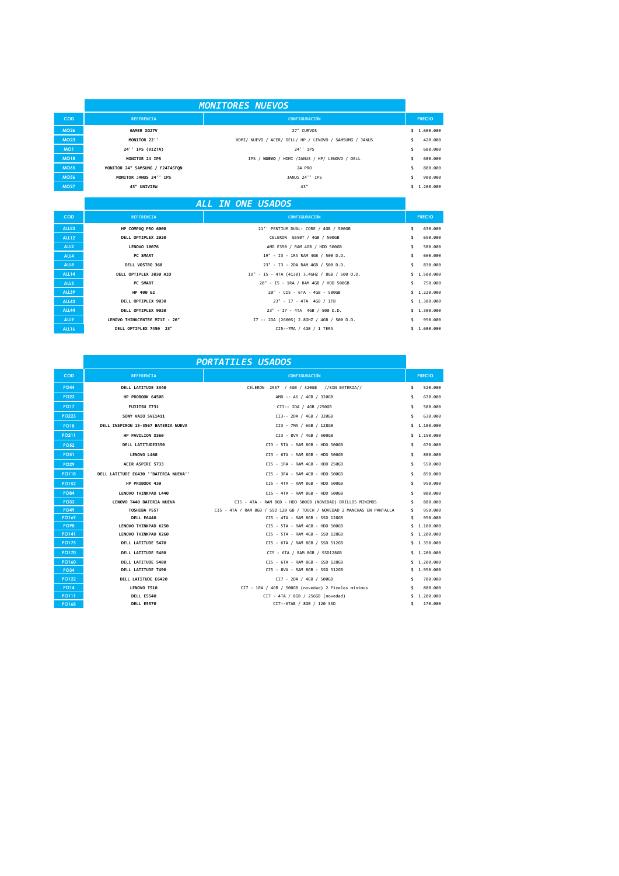|                 | <b>MONITORES NUEVOS</b>         |                                                         |    |               |
|-----------------|---------------------------------|---------------------------------------------------------|----|---------------|
| <b>COD</b>      | <b>REFERENCIA</b>               | CONFIGURACIÓN                                           |    | <b>PRECIO</b> |
| <b>MO26</b>     | GAMER XG27V                     | 27" CURVOS                                              |    | \$1.600.000   |
| <b>MO23</b>     | MONITOR 22"                     | HDMI/ NUEVO / ACER/ DELL/ HP / LENOVO / SAMSUMG / JANUS | \$ | 420,000       |
| MO <sub>1</sub> | 24'' IPS (VIZTA)                | 24'' IPS                                                | \$ | 680,000       |
| <b>MO18</b>     | MONITOR 24 IPS                  | IPS / NUEVO / HDMI /JANUS / HP/ LENOVO / DELL           |    | 680,000       |
| <b>MO65</b>     | MONITOR 24" SAMSUNG / F24T45FON | 24 PRO                                                  | \$ | 800,000       |
| <b>MO56</b>     | MONITOR JANUS 24" IPS           | JANUS 24" IPS                                           |    | 900,000       |
| <b>MO27</b>     | 43" UNIVIEW                     | 43"                                                     |    | 1,200,000     |
|                 |                                 |                                                         |    |               |

## *ALL IN ONE USADOS*

| <b>COD</b>       | <b>REFERENCIA</b>             | <b>CONFIGURACIÓN</b>                          | <b>PRECIO</b> |
|------------------|-------------------------------|-----------------------------------------------|---------------|
| <b>ALL53</b>     | HP COMPAQ PRO 6000            | 21'' PENTIUM DUAL- CORE / 4GB / 500GB         | 630,000       |
| <b>ALL12</b>     | DELL OPTIPLEX 2020            | CELERON G550T / 4GB / 500GB                   | 650,000       |
| ALL <sub>2</sub> | <b>LENOVO 10076</b>           | AMD E350 / RAM 4GB / HDD 500GB                | 580.000       |
| ALL4             | <b>PC SMART</b>               | 19" - I3 - 1RA RAM 4GB / 500 D.D.             | \$<br>660.000 |
| ALL <sub>8</sub> | DELL VOSTRO 360               | 23" - I3 - 2DA RAM 4GB / 500 D.D.             | 830.000       |
| <b>ALL14</b>     | DELL OPTIPLEX 3030 AIO        | 19" - I5 - 4TA (4130) 3.4GHZ / 8GB / 500 D.D. | \$1.500.000   |
| ALL <sub>3</sub> | PC SMART                      | 20" - IS - 1RA / RAM 4GB / HDD 500GB          | \$750.000     |
| <b>ALL39</b>     | HP 400 G2                     | 20" - CI5 - 6TA - 4GB - 500GB                 | \$1,220,000   |
| <b>ALL43</b>     | DELL OPTIPLEX 9030            | 23" - I7 - 4TA 4GB / 1TB                      | \$1.300.000   |
| ALL44            | DELL OPTIPLEX 9020            | 23" - I7 - 4TA 4GB / 500 D.D.                 | \$1.300.000   |
| ALL9             | LENOVO THINKCENTRE M71Z - 20" | I7 -- 2DA (2600S) 2.8GHZ / 4GB / 500 D.D.     | \$950.000     |
| ALL16            | DELL OPTIPLEX 7450 23"        | CI5--7MA / 4GB / 1 TERA                       | \$1.680.000   |

| <b>REFERENCIA</b><br>CONFIGURACIÓN<br>COD<br><b>PRECIO</b><br>\$<br><b>PO44</b><br><b>DELL LATITUDE 3340</b><br>CELERON 2957 / 4GB / 320GB //SIN BATERIA//<br>520.000<br><b>PO23</b><br>HP PROBOOK 6450B<br>AMD -- A6 / 4GB / 320GB<br>\$<br>670,000<br>FUJITSU T731<br>CI3-- 2DA / 4GB /250GB<br>\$<br>500.000<br><b>PO17</b><br><b>PO223</b><br>630,000<br>SONY VAIO SVE1411<br>CI3-- 2DA / 4GB / 320GB<br>\$<br>\$1.100.000<br>DELL INSPIRON 15-3567 BATERIA NUEVA<br>CI3 - 7MA / 6GB / 128GB<br><b>PO18</b><br>CI3 - 8VA / 4GB / 500GB<br>\$1.150.000<br><b>PO211</b><br>HP PAVILION X360<br><b>PO52</b><br>CI3 - 5TA - RAM 8GB - HDD 500GB<br>670,000<br>DELL LATITUDE3350<br>\$<br>CI3 - 6TA - RAM 8GB - HDD 500GB<br>\$<br>880.000<br><b>PO51</b><br>LENOVO L460<br>CI5 - 1RA - RAM 4GB - HDD 250GB<br>550,000<br>ACER ASPIRE 5733<br>\$<br><b>PO29</b><br>DELL LATITUDE E6430 ''BATERIA NUEVA''<br><b>PO118</b><br>CI5 - 3RA - RAM 4GB - HDD 500GB<br>850.000<br>\$<br>CI5 - 4TA - RAM 8GB - HDD 500GB<br>HP PROBOOK 430<br>950,000<br><b>PO152</b><br>\$<br>CI5 - 4TA - RAM 8GB - HDD 500GB<br>800,000<br>LENOVO THINKPAD L440<br><b>PO84</b><br>\$<br><b>PO33</b><br>CI5 - 4TA - RAM 8GB - HDD 500GB (NOVEDAD) BRILLOS MINIMOS<br>LENOVO T440 BATERIA NUEVA<br>\$<br>880,000<br>950,000<br>TOSHIBA P55T<br>CI5 - 4TA / RAM 8GB / SSD 120 GB / TOUCH / NOVEDAD 2 MANCHAS EN PANTALLA<br><b>PO49</b><br>\$<br><b>PO169</b><br>DELL E6440<br>CI5 - 4TA - RAM 8GB - SSD 128GB<br>950,000<br>\$<br>LENOVO THINKPAD X250<br>CI5 - 5TA - RAM 4GB - HDD 500GB<br>1,100,000<br><b>PO98</b><br>\$.<br><b>PO141</b><br>LENOVO THINKPAD X260<br>CI5 - 5TA - RAM 4GB - SSD 128GB<br>\$1.200.000<br>CI5 - 6TA / RAM 8GB / SSD 512GB<br>\$1.350.000<br><b>PO175</b><br><b>DELL LATITUDE 5470</b><br>DELL LATITUDE 5480<br>CI5 - 6TA / RAM 8GB / SSD128GB<br>\$1.200.000<br><b>PO170</b><br>CI5 - 6TA - RAM 8GB - SSD 128GB<br>\$1.200.000<br><b>DELL LATITUDE 5480</b><br><b>PO160</b><br><b>PO34</b><br>\$1.950.000<br>DELL LATITUDE 7490<br>CI5 - 8VA - RAM 8GB - SSD 512GB<br><b>PO122</b><br><b>DELL LATITUDE E6420</b><br>CI7 - 2DA / 4GB / 500GB<br>700,000<br>\$<br><b>PO14</b><br>CI7 - 1RA / 4GB / 500GB (novedad) 2 Pixeles minimos<br>880,000<br>LENOVO T510<br>\$<br><b>PO111</b><br><b>DELL E5540</b><br>CI7 - 4TA / 8GB / 256GB (novedad)<br>1,200,000<br>\$.<br><b>PO168</b><br>170,000<br>CI7--6TAB / 8GB / 120 SSD<br>\$<br><b>DELL E5570</b> | <b>PORTATILES USADOS</b> |  |  |  |
|-----------------------------------------------------------------------------------------------------------------------------------------------------------------------------------------------------------------------------------------------------------------------------------------------------------------------------------------------------------------------------------------------------------------------------------------------------------------------------------------------------------------------------------------------------------------------------------------------------------------------------------------------------------------------------------------------------------------------------------------------------------------------------------------------------------------------------------------------------------------------------------------------------------------------------------------------------------------------------------------------------------------------------------------------------------------------------------------------------------------------------------------------------------------------------------------------------------------------------------------------------------------------------------------------------------------------------------------------------------------------------------------------------------------------------------------------------------------------------------------------------------------------------------------------------------------------------------------------------------------------------------------------------------------------------------------------------------------------------------------------------------------------------------------------------------------------------------------------------------------------------------------------------------------------------------------------------------------------------------------------------------------------------------------------------------------------------------------------------------------------------------------------------------------------------------------------------------------------------------------------------------------------------------------------------------------------------------------------------------------------------------------------------------------------------------------------------------|--------------------------|--|--|--|
|                                                                                                                                                                                                                                                                                                                                                                                                                                                                                                                                                                                                                                                                                                                                                                                                                                                                                                                                                                                                                                                                                                                                                                                                                                                                                                                                                                                                                                                                                                                                                                                                                                                                                                                                                                                                                                                                                                                                                                                                                                                                                                                                                                                                                                                                                                                                                                                                                                                           |                          |  |  |  |
|                                                                                                                                                                                                                                                                                                                                                                                                                                                                                                                                                                                                                                                                                                                                                                                                                                                                                                                                                                                                                                                                                                                                                                                                                                                                                                                                                                                                                                                                                                                                                                                                                                                                                                                                                                                                                                                                                                                                                                                                                                                                                                                                                                                                                                                                                                                                                                                                                                                           |                          |  |  |  |
|                                                                                                                                                                                                                                                                                                                                                                                                                                                                                                                                                                                                                                                                                                                                                                                                                                                                                                                                                                                                                                                                                                                                                                                                                                                                                                                                                                                                                                                                                                                                                                                                                                                                                                                                                                                                                                                                                                                                                                                                                                                                                                                                                                                                                                                                                                                                                                                                                                                           |                          |  |  |  |
|                                                                                                                                                                                                                                                                                                                                                                                                                                                                                                                                                                                                                                                                                                                                                                                                                                                                                                                                                                                                                                                                                                                                                                                                                                                                                                                                                                                                                                                                                                                                                                                                                                                                                                                                                                                                                                                                                                                                                                                                                                                                                                                                                                                                                                                                                                                                                                                                                                                           |                          |  |  |  |
|                                                                                                                                                                                                                                                                                                                                                                                                                                                                                                                                                                                                                                                                                                                                                                                                                                                                                                                                                                                                                                                                                                                                                                                                                                                                                                                                                                                                                                                                                                                                                                                                                                                                                                                                                                                                                                                                                                                                                                                                                                                                                                                                                                                                                                                                                                                                                                                                                                                           |                          |  |  |  |
|                                                                                                                                                                                                                                                                                                                                                                                                                                                                                                                                                                                                                                                                                                                                                                                                                                                                                                                                                                                                                                                                                                                                                                                                                                                                                                                                                                                                                                                                                                                                                                                                                                                                                                                                                                                                                                                                                                                                                                                                                                                                                                                                                                                                                                                                                                                                                                                                                                                           |                          |  |  |  |
|                                                                                                                                                                                                                                                                                                                                                                                                                                                                                                                                                                                                                                                                                                                                                                                                                                                                                                                                                                                                                                                                                                                                                                                                                                                                                                                                                                                                                                                                                                                                                                                                                                                                                                                                                                                                                                                                                                                                                                                                                                                                                                                                                                                                                                                                                                                                                                                                                                                           |                          |  |  |  |
|                                                                                                                                                                                                                                                                                                                                                                                                                                                                                                                                                                                                                                                                                                                                                                                                                                                                                                                                                                                                                                                                                                                                                                                                                                                                                                                                                                                                                                                                                                                                                                                                                                                                                                                                                                                                                                                                                                                                                                                                                                                                                                                                                                                                                                                                                                                                                                                                                                                           |                          |  |  |  |
|                                                                                                                                                                                                                                                                                                                                                                                                                                                                                                                                                                                                                                                                                                                                                                                                                                                                                                                                                                                                                                                                                                                                                                                                                                                                                                                                                                                                                                                                                                                                                                                                                                                                                                                                                                                                                                                                                                                                                                                                                                                                                                                                                                                                                                                                                                                                                                                                                                                           |                          |  |  |  |
|                                                                                                                                                                                                                                                                                                                                                                                                                                                                                                                                                                                                                                                                                                                                                                                                                                                                                                                                                                                                                                                                                                                                                                                                                                                                                                                                                                                                                                                                                                                                                                                                                                                                                                                                                                                                                                                                                                                                                                                                                                                                                                                                                                                                                                                                                                                                                                                                                                                           |                          |  |  |  |
|                                                                                                                                                                                                                                                                                                                                                                                                                                                                                                                                                                                                                                                                                                                                                                                                                                                                                                                                                                                                                                                                                                                                                                                                                                                                                                                                                                                                                                                                                                                                                                                                                                                                                                                                                                                                                                                                                                                                                                                                                                                                                                                                                                                                                                                                                                                                                                                                                                                           |                          |  |  |  |
|                                                                                                                                                                                                                                                                                                                                                                                                                                                                                                                                                                                                                                                                                                                                                                                                                                                                                                                                                                                                                                                                                                                                                                                                                                                                                                                                                                                                                                                                                                                                                                                                                                                                                                                                                                                                                                                                                                                                                                                                                                                                                                                                                                                                                                                                                                                                                                                                                                                           |                          |  |  |  |
|                                                                                                                                                                                                                                                                                                                                                                                                                                                                                                                                                                                                                                                                                                                                                                                                                                                                                                                                                                                                                                                                                                                                                                                                                                                                                                                                                                                                                                                                                                                                                                                                                                                                                                                                                                                                                                                                                                                                                                                                                                                                                                                                                                                                                                                                                                                                                                                                                                                           |                          |  |  |  |
|                                                                                                                                                                                                                                                                                                                                                                                                                                                                                                                                                                                                                                                                                                                                                                                                                                                                                                                                                                                                                                                                                                                                                                                                                                                                                                                                                                                                                                                                                                                                                                                                                                                                                                                                                                                                                                                                                                                                                                                                                                                                                                                                                                                                                                                                                                                                                                                                                                                           |                          |  |  |  |
|                                                                                                                                                                                                                                                                                                                                                                                                                                                                                                                                                                                                                                                                                                                                                                                                                                                                                                                                                                                                                                                                                                                                                                                                                                                                                                                                                                                                                                                                                                                                                                                                                                                                                                                                                                                                                                                                                                                                                                                                                                                                                                                                                                                                                                                                                                                                                                                                                                                           |                          |  |  |  |
|                                                                                                                                                                                                                                                                                                                                                                                                                                                                                                                                                                                                                                                                                                                                                                                                                                                                                                                                                                                                                                                                                                                                                                                                                                                                                                                                                                                                                                                                                                                                                                                                                                                                                                                                                                                                                                                                                                                                                                                                                                                                                                                                                                                                                                                                                                                                                                                                                                                           |                          |  |  |  |
|                                                                                                                                                                                                                                                                                                                                                                                                                                                                                                                                                                                                                                                                                                                                                                                                                                                                                                                                                                                                                                                                                                                                                                                                                                                                                                                                                                                                                                                                                                                                                                                                                                                                                                                                                                                                                                                                                                                                                                                                                                                                                                                                                                                                                                                                                                                                                                                                                                                           |                          |  |  |  |
|                                                                                                                                                                                                                                                                                                                                                                                                                                                                                                                                                                                                                                                                                                                                                                                                                                                                                                                                                                                                                                                                                                                                                                                                                                                                                                                                                                                                                                                                                                                                                                                                                                                                                                                                                                                                                                                                                                                                                                                                                                                                                                                                                                                                                                                                                                                                                                                                                                                           |                          |  |  |  |
|                                                                                                                                                                                                                                                                                                                                                                                                                                                                                                                                                                                                                                                                                                                                                                                                                                                                                                                                                                                                                                                                                                                                                                                                                                                                                                                                                                                                                                                                                                                                                                                                                                                                                                                                                                                                                                                                                                                                                                                                                                                                                                                                                                                                                                                                                                                                                                                                                                                           |                          |  |  |  |
|                                                                                                                                                                                                                                                                                                                                                                                                                                                                                                                                                                                                                                                                                                                                                                                                                                                                                                                                                                                                                                                                                                                                                                                                                                                                                                                                                                                                                                                                                                                                                                                                                                                                                                                                                                                                                                                                                                                                                                                                                                                                                                                                                                                                                                                                                                                                                                                                                                                           |                          |  |  |  |
|                                                                                                                                                                                                                                                                                                                                                                                                                                                                                                                                                                                                                                                                                                                                                                                                                                                                                                                                                                                                                                                                                                                                                                                                                                                                                                                                                                                                                                                                                                                                                                                                                                                                                                                                                                                                                                                                                                                                                                                                                                                                                                                                                                                                                                                                                                                                                                                                                                                           |                          |  |  |  |
|                                                                                                                                                                                                                                                                                                                                                                                                                                                                                                                                                                                                                                                                                                                                                                                                                                                                                                                                                                                                                                                                                                                                                                                                                                                                                                                                                                                                                                                                                                                                                                                                                                                                                                                                                                                                                                                                                                                                                                                                                                                                                                                                                                                                                                                                                                                                                                                                                                                           |                          |  |  |  |
|                                                                                                                                                                                                                                                                                                                                                                                                                                                                                                                                                                                                                                                                                                                                                                                                                                                                                                                                                                                                                                                                                                                                                                                                                                                                                                                                                                                                                                                                                                                                                                                                                                                                                                                                                                                                                                                                                                                                                                                                                                                                                                                                                                                                                                                                                                                                                                                                                                                           |                          |  |  |  |
|                                                                                                                                                                                                                                                                                                                                                                                                                                                                                                                                                                                                                                                                                                                                                                                                                                                                                                                                                                                                                                                                                                                                                                                                                                                                                                                                                                                                                                                                                                                                                                                                                                                                                                                                                                                                                                                                                                                                                                                                                                                                                                                                                                                                                                                                                                                                                                                                                                                           |                          |  |  |  |
|                                                                                                                                                                                                                                                                                                                                                                                                                                                                                                                                                                                                                                                                                                                                                                                                                                                                                                                                                                                                                                                                                                                                                                                                                                                                                                                                                                                                                                                                                                                                                                                                                                                                                                                                                                                                                                                                                                                                                                                                                                                                                                                                                                                                                                                                                                                                                                                                                                                           |                          |  |  |  |
|                                                                                                                                                                                                                                                                                                                                                                                                                                                                                                                                                                                                                                                                                                                                                                                                                                                                                                                                                                                                                                                                                                                                                                                                                                                                                                                                                                                                                                                                                                                                                                                                                                                                                                                                                                                                                                                                                                                                                                                                                                                                                                                                                                                                                                                                                                                                                                                                                                                           |                          |  |  |  |